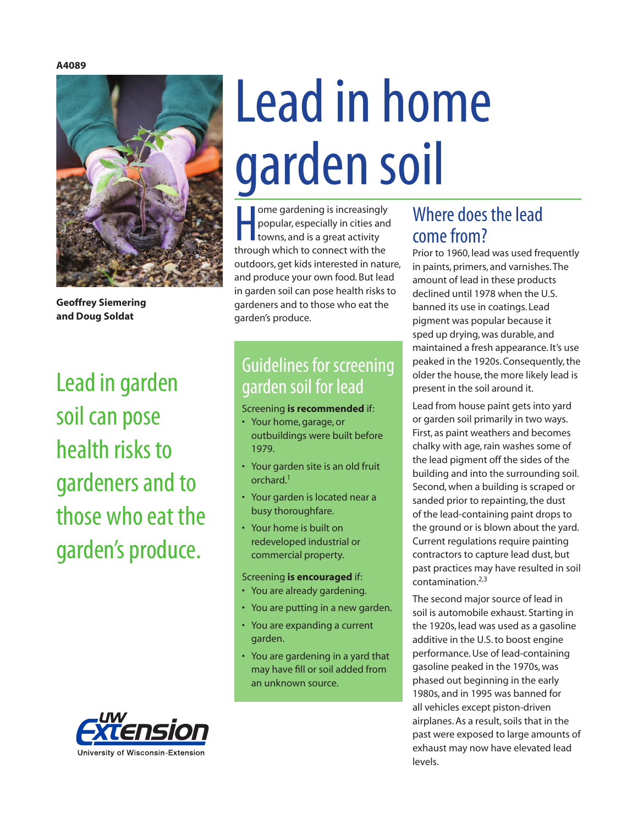#### **A4089**



**Geoffrey Siemering and Doug Soldat**

Lead in garden soil can pose health risks to gardeners and to those who eat the garden's produce.

# Lead in home garden soil

ome gardening is increasingly<br>popular, especially in cities and<br>towns, and is a great activity<br>through which to connect with the ome gardening is increasingly popular, especially in cities and towns, and is a great activity outdoors, get kids interested in nature, and produce your own food. But lead in garden soil can pose health risks to gardeners and to those who eat the garden's produce.

## Guidelines for screening garden soil for lead

#### Screening **is recommended** if:

- Your home, garage, or outbuildings were built before 1979.
- Your garden site is an old fruit orchard.1
- Your garden is located near a busy thoroughfare.
- Your home is built on redeveloped industrial or commercial property.

#### Screening **is encouraged** if:

- You are already gardening.
- You are putting in a new garden.
- You are expanding a current garden.
- You are gardening in a yard that may have fill or soil added from an unknown source.

## Where does the lead come from?

Prior to 1960, lead was used frequently in paints, primers, and varnishes. The amount of lead in these products declined until 1978 when the U.S. banned its use in coatings. Lead pigment was popular because it sped up drying, was durable, and maintained a fresh appearance. It's use peaked in the 1920s. Consequently, the older the house, the more likely lead is present in the soil around it.

Lead from house paint gets into yard or garden soil primarily in two ways. First, as paint weathers and becomes chalky with age, rain washes some of the lead pigment off the sides of the building and into the surrounding soil. Second, when a building is scraped or sanded prior to repainting, the dust of the lead-containing paint drops to the ground or is blown about the yard. Current regulations require painting contractors to capture lead dust, but past practices may have resulted in soil contamination.2,3

The second major source of lead in soil is automobile exhaust. Starting in the 1920s, lead was used as a gasoline additive in the U.S. to boost engine performance. Use of lead-containing gasoline peaked in the 1970s, was phased out beginning in the early 1980s, and in 1995 was banned for all vehicles except piston-driven airplanes. As a result, soils that in the past were exposed to large amounts of exhaust may now have elevated lead levels.

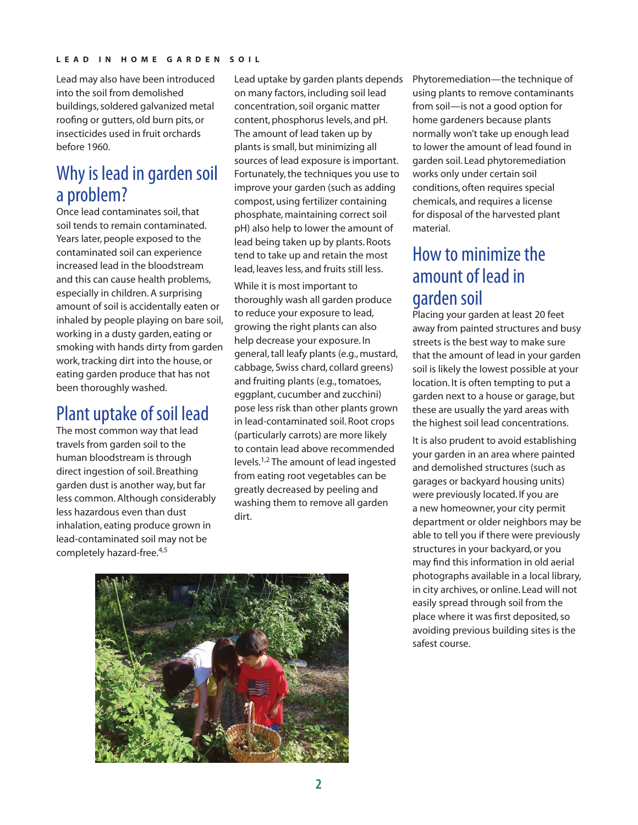Lead may also have been introduced into the soil from demolished buildings, soldered galvanized metal roofing or gutters, old burn pits, or insecticides used in fruit orchards before 1960.

## Why is lead in garden soil a problem?

Once lead contaminates soil, that soil tends to remain contaminated. Years later, people exposed to the contaminated soil can experience increased lead in the bloodstream and this can cause health problems, especially in children. A surprising amount of soil is accidentally eaten or inhaled by people playing on bare soil, working in a dusty garden, eating or smoking with hands dirty from garden work, tracking dirt into the house, or eating garden produce that has not been thoroughly washed.

## Plant uptake of soil lead

The most common way that lead travels from garden soil to the human bloodstream is through direct ingestion of soil. Breathing garden dust is another way, but far less common. Although considerably less hazardous even than dust inhalation, eating produce grown in lead-contaminated soil may not be completely hazard-free.<sup>4,5</sup>

Lead uptake by garden plants depends on many factors, including soil lead concentration, soil organic matter content, phosphorus levels, and pH. The amount of lead taken up by plants is small, but minimizing all sources of lead exposure is important. Fortunately, the techniques you use to improve your garden (such as adding compost, using fertilizer containing phosphate, maintaining correct soil pH) also help to lower the amount of lead being taken up by plants. Roots tend to take up and retain the most lead, leaves less, and fruits still less.

While it is most important to thoroughly wash all garden produce to reduce your exposure to lead, growing the right plants can also help decrease your exposure. In general, tall leafy plants (e.g., mustard, cabbage, Swiss chard, collard greens) and fruiting plants (e.g., tomatoes, eggplant, cucumber and zucchini) pose less risk than other plants grown in lead-contaminated soil. Root crops (particularly carrots) are more likely to contain lead above recommended levels.1,2 The amount of lead ingested from eating root vegetables can be greatly decreased by peeling and washing them to remove all garden dirt.



Phytoremediation—the technique of using plants to remove contaminants from soil—is not a good option for home gardeners because plants normally won't take up enough lead to lower the amount of lead found in garden soil. Lead phytoremediation works only under certain soil conditions, often requires special chemicals, and requires a license for disposal of the harvested plant material.

## How to minimize the amount of lead in garden soil

Placing your garden at least 20 feet away from painted structures and busy streets is the best way to make sure that the amount of lead in your garden soil is likely the lowest possible at your location. It is often tempting to put a garden next to a house or garage, but these are usually the yard areas with the highest soil lead concentrations.

It is also prudent to avoid establishing your garden in an area where painted and demolished structures (such as garages or backyard housing units) were previously located. If you are a new homeowner, your city permit department or older neighbors may be able to tell you if there were previously structures in your backyard, or you may find this information in old aerial photographs available in a local library, in city archives, or online. Lead will not easily spread through soil from the place where it was first deposited, so avoiding previous building sites is the safest course.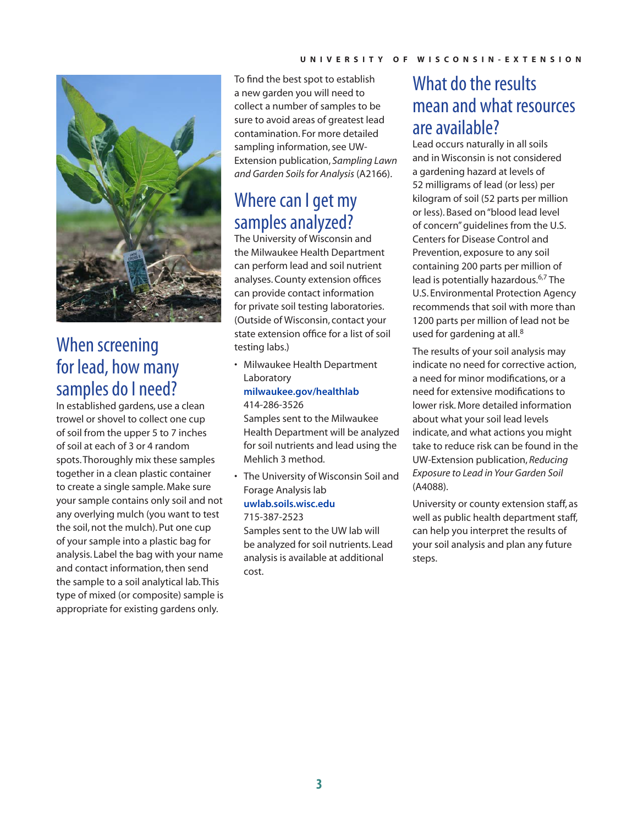

### When screening for lead, how many samples do I need?

In established gardens, use a clean trowel or shovel to collect one cup of soil from the upper 5 to 7 inches of soil at each of 3 or 4 random spots. Thoroughly mix these samples together in a clean plastic container to create a single sample. Make sure your sample contains only soil and not any overlying mulch (you want to test the soil, not the mulch). Put one cup of your sample into a plastic bag for analysis. Label the bag with your name and contact information, then send the sample to a soil analytical lab. This type of mixed (or composite) sample is appropriate for existing gardens only.

To find the best spot to establish a new garden you will need to collect a number of samples to be sure to avoid areas of greatest lead contamination. For more detailed sampling information, see UW-Extension publication, *Sampling Lawn and Garden Soils for Analysis* (A2166).

## Where can I get my samples analyzed?

The University of Wisconsin and the Milwaukee Health Department can perform lead and soil nutrient analyses. County extension offices can provide contact information for private soil testing laboratories. (Outside of Wisconsin, contact your state extension office for a list of soil testing labs.)

• Milwaukee Health Department Laboratory

#### **milwa[ukee.gov/healthlab](http://city.milwaukee.gov/healthlab#.VOYZqSk-5ig)** 414-286-3526

Samples sent to the Milwaukee Health Department will be analyzed for soil nutrients and lead using the Mehlich 3 method.

• The University of Wisconsin Soil and Forage Analysis lab

#### **[uwlab.soils.wisc.edu](http://uwlab.soils.wisc.edu)**

715-387-2523 Samples sent to the UW lab will be analyzed for soil nutrients. Lead analysis is available at additional cost.

## What do the results mean and what resources are available?

Lead occurs naturally in all soils and in Wisconsin is not considered a gardening hazard at levels of 52 milligrams of lead (or less) per kilogram of soil (52 parts per million or less). Based on "blood lead level of concern" guidelines from the U.S. Centers for Disease Control and Prevention, exposure to any soil containing 200 parts per million of lead is potentially hazardous.<sup>6,7</sup> The U.S. Environmental Protection Agency recommends that soil with more than 1200 parts per million of lead not be used for gardening at all.<sup>8</sup>

The results of your soil analysis may indicate no need for corrective action, a need for minor modifications, or a need for extensive modifications to lower risk. More detailed information about what your soil lead levels indicate, and what actions you might take to reduce risk can be found in the UW-Extension publication, *Reducing Exposure to Lead in Your Garden Soil*  (A4088).

University or county extension staff, as well as public health department staff, can help you interpret the results of your soil analysis and plan any future steps.